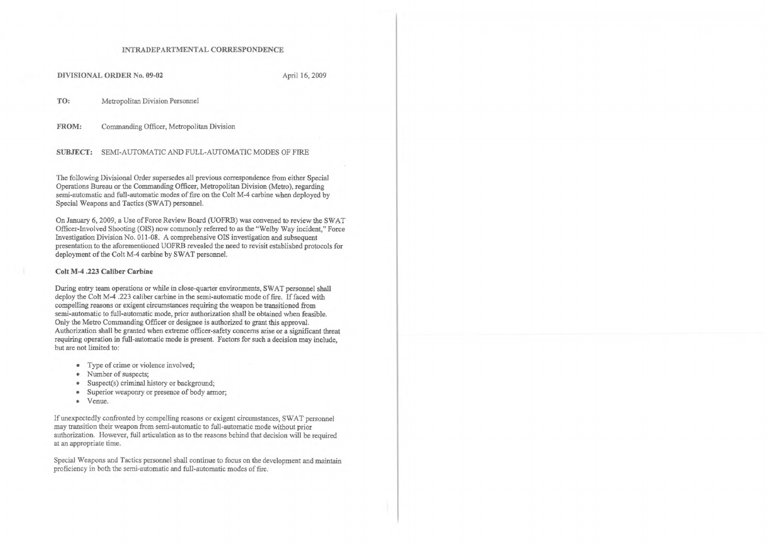## **1NTRADEPARTMENTAL CORRESPONDENCE**

DIVISIONAL ORDER No. 09-02 April 16, 2009

**TO:** Metropolitan Division Personnel

**FROM:** Commanding Officer, Metropolitan Division

**SUBJECT:** SEMI-AUTOMATIC AND FULL-AUTOMATIC MODES OF FIRE

The following Divisional Order supersedes all previous correspondence from either Special Operations Bureau or the Commanding Officer, Metropolitan Division (Metro), regarding semi-automatic and full-automatic modes of fire on the Colt M-4 carbine when deployed by Special Weapons and Tactics (SWAT) personnel.

On January 6, 2009, a Use of Force Review Board (UOFRB) was convened to review the SWAT Officer-Involved Shooting (OIS) now commonly referred to as the "Welby Way incident," Force Investigation Division No. 011-08. A comprehensive OIS investigation and subsequent presentation to the aforementioned UOFRB revealed the need to revisit established protocols for deployment of the Colt M-4 carbine by SWAT personnel.

## **Colt M-4 .223 Caliber Carbine**

Special Weapons and Tactics personnel shall continue to focus on the development and maintain proficiency in both the semi-automatic and full-automatic modes of fire.

During entry team operations or while in close-quarter environments, SWAT personnel shall deploy the Colt M-4 .223 caliber carbine in the semi-automatic mode of fire. If faced with compelling reasons or exigent circumstances requiring the weapon be transitioned from semi-automatic to full-automatic mode, prior authorization shall be obtained when feasible. Only the Metro Commanding Officer or designee is authorized to grant this approval. Authorization shall be granted when extreme officer-safety concerns arise or a significant threat requiring operation in full-automatic mode is present. Factors for such a decision may include, but are not limited to:

- Type of crime or violence involved;
- Number of suspects;
- Suspect(s) criminal history or background;
- Superior weaponry or presence of body armor;
- Venue.

If unexpectedly confronted by compelling reasons or exigent circumstances, SWAT personnel may transition their weapon from semi-automatic to full-automatic mode without prior authorization. However, full articulation as to the reasons behind that decision will be required at an appropriate time.